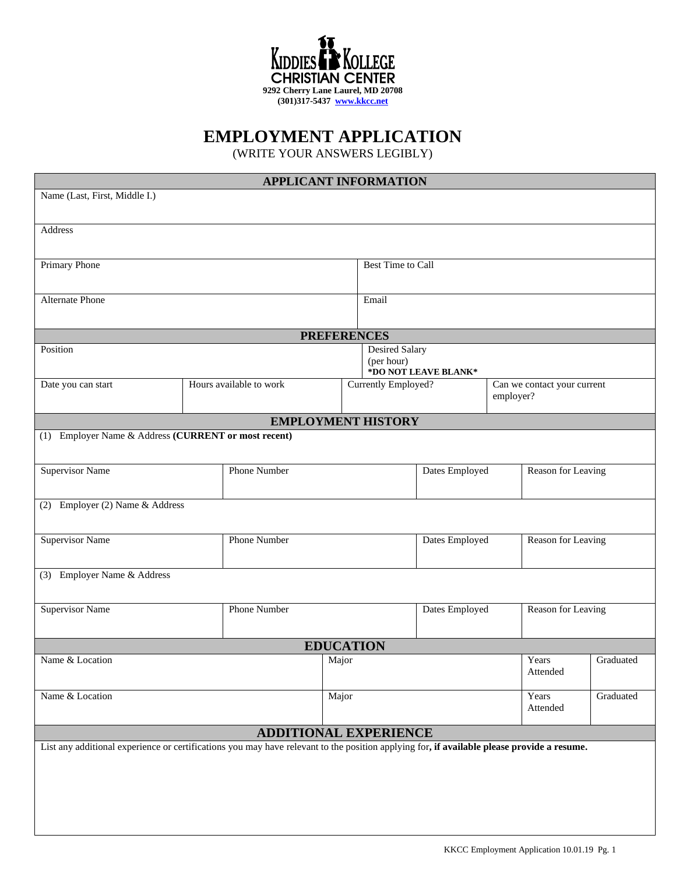

## **EMPLOYMENT APPLICATION**

(WRITE YOUR ANSWERS LEGIBLY)

| <b>APPLICANT INFORMATION</b>                                                                                                               |                                                             |                         |       |                     |                |                                          |                    |           |
|--------------------------------------------------------------------------------------------------------------------------------------------|-------------------------------------------------------------|-------------------------|-------|---------------------|----------------|------------------------------------------|--------------------|-----------|
| Name (Last, First, Middle I.)                                                                                                              |                                                             |                         |       |                     |                |                                          |                    |           |
|                                                                                                                                            |                                                             |                         |       |                     |                |                                          |                    |           |
| Address                                                                                                                                    |                                                             |                         |       |                     |                |                                          |                    |           |
| Primary Phone                                                                                                                              |                                                             |                         |       | Best Time to Call   |                |                                          |                    |           |
| Alternate Phone                                                                                                                            |                                                             |                         |       | Email               |                |                                          |                    |           |
| <b>PREFERENCES</b>                                                                                                                         |                                                             |                         |       |                     |                |                                          |                    |           |
| Position                                                                                                                                   | <b>Desired Salary</b><br>(per hour)<br>*DO NOT LEAVE BLANK* |                         |       |                     |                |                                          |                    |           |
| Date you can start                                                                                                                         |                                                             | Hours available to work |       | Currently Employed? |                | Can we contact your current<br>employer? |                    |           |
| <b>EMPLOYMENT HISTORY</b>                                                                                                                  |                                                             |                         |       |                     |                |                                          |                    |           |
| Employer Name & Address (CURRENT or most recent)<br>(1)                                                                                    |                                                             |                         |       |                     |                |                                          |                    |           |
| <b>Supervisor Name</b>                                                                                                                     | Phone Number                                                |                         |       | Dates Employed      |                |                                          | Reason for Leaving |           |
| Employer (2) Name & Address<br>(2)                                                                                                         |                                                             |                         |       |                     |                |                                          |                    |           |
| <b>Supervisor Name</b>                                                                                                                     | Phone Number                                                |                         |       |                     | Dates Employed |                                          | Reason for Leaving |           |
| Employer Name & Address<br>(3)                                                                                                             |                                                             |                         |       |                     |                |                                          |                    |           |
| <b>Supervisor Name</b><br>Phone Number                                                                                                     |                                                             |                         |       |                     | Dates Employed |                                          | Reason for Leaving |           |
| <b>EDUCATION</b>                                                                                                                           |                                                             |                         |       |                     |                |                                          |                    |           |
| Name & Location                                                                                                                            |                                                             |                         | Major |                     |                |                                          | Years<br>Attended  | Graduated |
| Name & Location                                                                                                                            |                                                             |                         | Major |                     |                |                                          | Years<br>Attended  | Graduated |
| <b>ADDITIONAL EXPERIENCE</b>                                                                                                               |                                                             |                         |       |                     |                |                                          |                    |           |
| List any additional experience or certifications you may have relevant to the position applying for, if available please provide a resume. |                                                             |                         |       |                     |                |                                          |                    |           |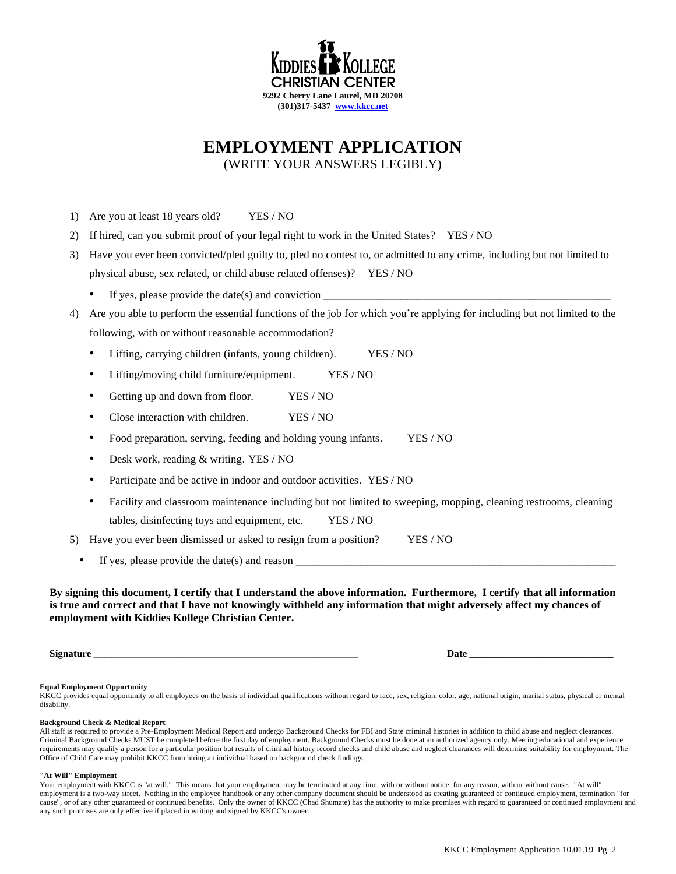

# **EMPLOYMENT APPLICATION**

(WRITE YOUR ANSWERS LEGIBLY)

- 1) Are you at least 18 years old? YES / NO
- 2) If hired, can you submit proof of your legal right to work in the United States? YES / NO
- 3) Have you ever been convicted/pled guilty to, pled no contest to, or admitted to any crime, including but not limited to physical abuse, sex related, or child abuse related offenses)? YES / NO
	- If yes, please provide the date(s) and conviction  $\qquad \qquad$
- 4) Are you able to perform the essential functions of the job for which you're applying for including but not limited to the following, with or without reasonable accommodation?
	- Lifting, carrying children (infants, young children). YES / NO
	- Lifting/moving child furniture/equipment. YES / NO
	- Getting up and down from floor. YES / NO
	- Close interaction with children. YES / NO
	- Food preparation, serving, feeding and holding young infants. YES / NO
	- Desk work, reading & writing. YES / NO
	- Participate and be active in indoor and outdoor activities. YES / NO
	- Facility and classroom maintenance including but not limited to sweeping, mopping, cleaning restrooms, cleaning tables, disinfecting toys and equipment, etc. YES / NO

5) Have you ever been dismissed or asked to resign from a position? YES / NO

If yes, please provide the date(s) and reason

**By signing this document, I certify that I understand the above information. Furthermore, I certify that all information is true and correct and that I have not knowingly withheld any information that might adversely affect my chances of employment with Kiddies Kollege Christian Center.**

**Signature** \_\_\_\_\_\_\_\_\_\_\_\_\_\_\_\_\_\_\_\_\_\_\_\_\_\_\_\_\_\_\_\_\_\_\_\_\_\_\_\_\_\_\_\_\_\_\_\_ **Date \_\_\_\_\_\_\_\_\_\_\_\_\_\_\_\_\_\_\_\_\_\_\_\_\_\_\_\_\_**

#### **Equal Employment Opportunity**

KKCC provides equal opportunity to all employees on the basis of individual qualifications without regard to race, sex, religion, color, age, national origin, marital status, physical or mental disability.

#### **Background Check & Medical Report**

All staff is required to provide a Pre-Employment Medical Report and undergo Background Checks for FBI and State criminal histories in addition to child abuse and neglect clearances. Criminal Background Checks MUST be completed before the first day of employment. Background Checks must be done at an authorized agency only. Meeting educational and experience requirements may qualify a person for a particular position but results of criminal history record checks and child abuse and neglect clearances will determine suitability for employment. The Office of Child Care may prohibit KKCC from hiring an individual based on background check findings.

#### **"At Will" Employment**

Your employment with KKCC is "at will." This means that your employment may be terminated at any time, with or without notice, for any reason, with or without cause. "At will" employment is a two-way street. Nothing in the employee handbook or any other company document should be understood as creating guaranteed or continued employment, termination "for cause", or of any other guaranteed or continued benefits. Only the owner of KKCC (Chad Shumate) has the authority to make promises with regard to guaranteed or continued employment and any such promises are only effective if placed in writing and signed by KKCC's owner.